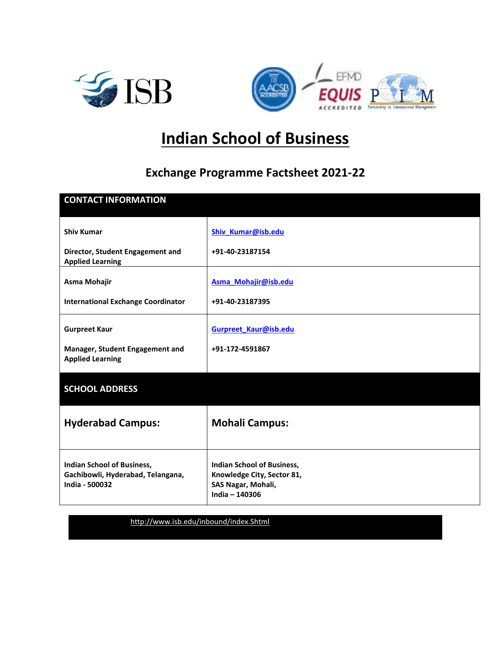



# **Indian School of Business**

# **Exchange Programme Factsheet 2021-22**

| <b>CONTACT INFORMATION</b>                                                               |                                                                                                  |
|------------------------------------------------------------------------------------------|--------------------------------------------------------------------------------------------------|
| <b>Shiv Kumar</b>                                                                        | Shiv_Kumar@isb.edu                                                                               |
| Director, Student Engagement and<br><b>Applied Learning</b>                              | +91-40-23187154                                                                                  |
| Asma Mohajir                                                                             | Asma_Mohajir@isb.edu                                                                             |
| <b>International Exchange Coordinator</b>                                                | +91-40-23187395                                                                                  |
| <b>Gurpreet Kaur</b>                                                                     | Gurpreet_Kaur@isb.edu                                                                            |
| Manager, Student Engagement and<br><b>Applied Learning</b>                               | +91-172-4591867                                                                                  |
| <b>SCHOOL ADDRESS</b>                                                                    |                                                                                                  |
| <b>Hyderabad Campus:</b>                                                                 | <b>Mohali Campus:</b>                                                                            |
| <b>Indian School of Business,</b><br>Gachibowli, Hyderabad, Telangana,<br>India - 500032 | Indian School of Business,<br>Knowledge City, Sector 81,<br>SAS Nagar, Mohali,<br>India - 140306 |

**Web Address**: <http://www.isb.edu/inbound/index.Shtml>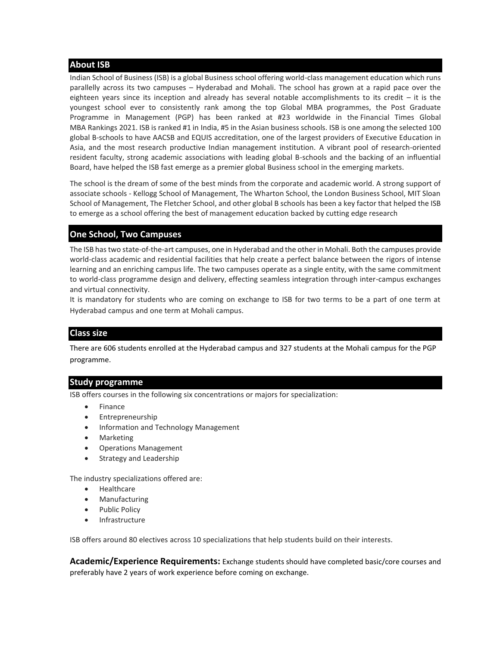# **About ISB**

Indian School of Business (ISB) is a global Business school offering world-class management education which runs parallelly across its two campuses – Hyderabad and Mohali. The school has grown at a rapid pace over the eighteen years since its inception and already has several notable accomplishments to its credit – it is the youngest school ever to consistently rank among the top Global MBA programmes, the Post Graduate Programme in Management (PGP) has been ranked at #23 worldwide in the Financial Times Global MBA Rankings 2021. ISB is ranked #1 in India, #5 in the Asian business schools. ISB is one among the selected 100 global B-schools to have AACSB and EQUIS accreditation, one of the largest providers of Executive Education in Asia, and the most research productive Indian management institution. A vibrant pool of research-oriented resident faculty, strong academic associations with leading global B-schools and the backing of an influential Board, have helped the ISB fast emerge as a premier global Business school in the emerging markets.

The school is the dream of some of the best minds from the corporate and academic world. A strong support of associate schools - Kellogg School of Management, The Wharton School, the London Business School, MIT Sloan School of Management, The Fletcher School, and other global B schools has been a key factor that helped the ISB to emerge as a school offering the best of management education backed by cutting edge research

# **One School, Two Campuses**

The ISB has two state-of-the-art campuses, one in Hyderabad and the other in Mohali. Both the campuses provide world-class academic and residential facilities that help create a perfect balance between the rigors of intense learning and an enriching campus life. The two campuses operate as a single entity, with the same commitment to world-class programme design and delivery, effecting seamless integration through inter-campus exchanges and virtual connectivity.

It is mandatory for students who are coming on exchange to ISB for two terms to be a part of one term at Hyderabad campus and one term at Mohali campus.

# **Class size**

There are 606 students enrolled at the Hyderabad campus and 327 students at the Mohali campus for the PGP programme.

# **Study programme**

ISB offers courses in the following six concentrations or majors for specialization:

- **Finance**
- **Entrepreneurship**
- Information and Technology Management
- **Marketing**
- Operations Management
- [Strategy and Leadership](http://atrium:14825/Programmes/PGP/ASA/Hyderabad/Pages/Concentrationareawise2016-17.aspx#STLD)

The industry specializations offered are:

- Healthcare
- **Manufacturing**
- Public Policy
- **Infrastructure**

ISB offers around 80 electives across 10 specializations that help students build on their interests.

**Academic/Experience Requirements:** Exchange students should have completed basic/core courses and preferably have 2 years of work experience before coming on exchange.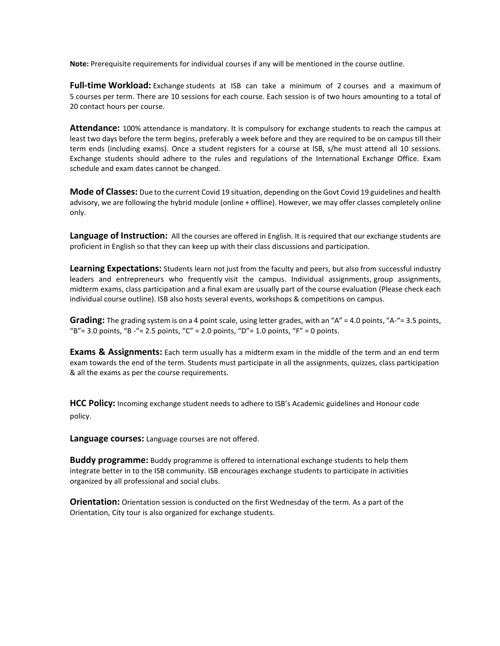**Note:** Prerequisite requirements for individual courses if any will be mentioned in the course outline.

**Full-time Workload:** Exchange students at ISB can take a minimum of 2 courses and a maximum of 5 courses per term. There are 10 sessions for each course. Each session is of two hours amounting to a total of 20 contact hours per course.

**Attendance:** 100% attendance is mandatory. It is compulsory for exchange students to reach the campus at least two days before the term begins, preferably a week before and they are required to be on campus till their term ends (including exams). Once a student registers for a course at ISB, s/he must attend all 10 sessions. Exchange students should adhere to the rules and regulations of the International Exchange Office. Exam schedule and exam dates cannot be changed.

**Mode of Classes:** Due to the current Covid 19 situation, depending on the Govt Covid 19 guidelines and health advisory, we are following the hybrid module (online + offline). However, we may offer classes completely online only.

**Language of Instruction:** All the courses are offered in English. It is required that our exchange students are proficient in English so that they can keep up with their class discussions and participation.

**Learning Expectations:** Students learn not just from the faculty and peers, but also from successful industry leaders and entrepreneurs who frequently visit the campus. Individual assignments, group assignments, midterm exams, class participation and a final exam are usually part of the course evaluation (Please check each individual course outline). ISB also hosts several events, workshops & competitions on campus.

**Grading:** The grading system is on a 4 point scale, using letter grades, with an "A" = 4.0 points, "A-"= 3.5 points, "B" = 3.0 points, "B -" = 2.5 points, "C" = 2.0 points, "D" = 1.0 points, "F" = 0 points.

**Exams & Assignments:** Each term usually has a midterm exam in the middle of the term and an end term exam towards the end of the term. Students must participate in all the assignments, quizzes, class participation & all the exams as per the course requirements.

**HCC Policy:** Incoming exchange student needs to adhere to ISB's Academic guidelines and Honour code policy.

**Language courses:** Language courses are not offered.

**Buddy programme:** Buddy programme is offered to international exchange students to help them integrate better in to the ISB community. ISB encourages exchange students to participate in activities organized by all professional and social clubs.

**Orientation:** Orientation session is conducted on the first Wednesday of the term. As a part of the Orientation, City tour is also organized for exchange students.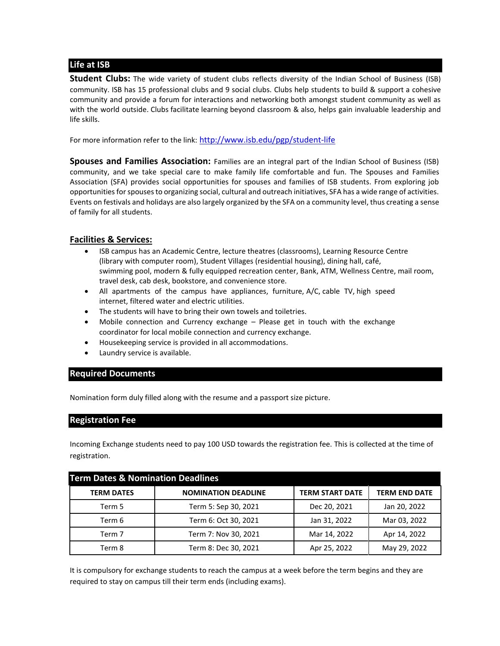# **Life at ISB**

**Student Clubs:** The wide variety of student clubs reflects diversity of the Indian School of Business (ISB) community. ISB has 15 professional clubs and 9 social clubs. Clubs help students to build & support a cohesive community and provide a forum for interactions and networking both amongst student community as well as with the world outside. Clubs facilitate learning beyond classroom & also, helps gain invaluable leadership and life skills.

For more information refer to the link: <http://www.isb.edu/pgp/student-life>

**Spouses and Families Association:** Families are an integral part of the Indian School of Business (ISB) community, and we take special care to make family life comfortable and fun. The [Spouses and Families](http://www.isb.edu/Spouse_FamilyAssociation/index.shtml)  [Association \(SFA\)](http://www.isb.edu/Spouse_FamilyAssociation/index.shtml) provides social opportunities for spouses and families of ISB students. From exploring job opportunities for spouses to organizing social, cultural and outreach initiatives, SFA has a wide range of activities. Events on festivals and holidays are also largely organized by the SFA on a community level, thus creating a sense of family for all students.

# **Facilities & Services:**

- ISB campus has an Academic Centre, lecture theatres (classrooms), Learning Resource Centre (library with computer room), Student Villages (residential housing), dining hall, café, swimming pool, modern & fully equipped recreation center, Bank, ATM, Wellness Centre, mail room, travel desk, cab desk, bookstore, and convenience store.
- All apartments of the campus have appliances, furniture, A/C, cable TV, high speed internet, filtered water and electric utilities.
- The students will have to bring their own towels and toiletries.
- Mobile connection and Currency exchange Please get in touch with the exchange coordinator for local mobile connection and currency exchange.
- Housekeeping service is provided in all accommodations.
- Laundry service is available.

# **Required Documents**

Nomination form duly filled along with the resume and a passport size picture.

# **Registration Fee**

Incoming Exchange students need to pay 100 USD towards the registration fee. This is collected at the time of registration.

| <b>Term Dates &amp; Nomination Deadlines</b> |                            |                        |                      |
|----------------------------------------------|----------------------------|------------------------|----------------------|
| <b>TERM DATES</b>                            | <b>NOMINATION DEADLINE</b> | <b>TERM START DATE</b> | <b>TERM END DATE</b> |
| Term 5                                       | Term 5: Sep 30, 2021       | Dec 20, 2021           | Jan 20, 2022         |
| Term 6                                       | Term 6: Oct 30, 2021       | Jan 31, 2022           | Mar 03, 2022         |
| Term 7                                       | Term 7: Nov 30, 2021       | Mar 14, 2022           | Apr 14, 2022         |
| Term 8                                       | Term 8: Dec 30, 2021       | Apr 25, 2022           | May 29, 2022         |

It is compulsory for exchange students to reach the campus at a week before the term begins and they are required to stay on campus till their term ends (including exams).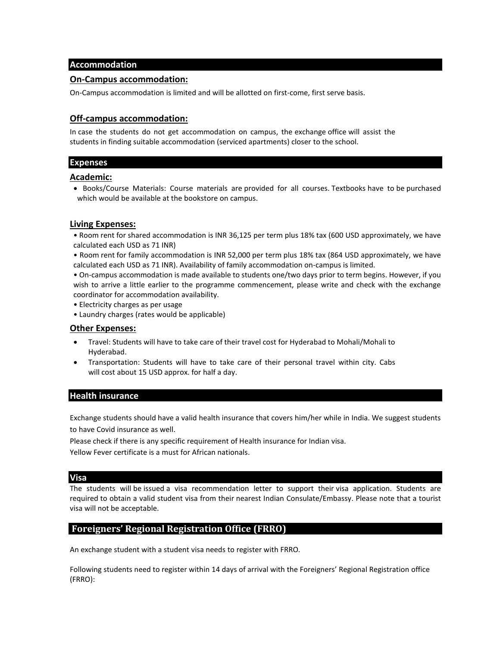#### **Accommodation**

#### **On-Campus accommodation:**

On-Campus accommodation is limited and will be allotted on first-come, first serve basis.

#### **Off-campus accommodation:**

In case the students do not get accommodation on campus, the exchange office will assist the students in finding suitable accommodation (serviced apartments) closer to the school.

# **Expenses**

# **Academic:**

• Books/Course Materials: Course materials are provided for all courses. Textbooks have to be purchased which would be available at the bookstore on campus.

#### **Living Expenses:**

- Room rent for shared accommodation is INR 36,125 per term plus 18% tax (600 USD approximately, we have calculated each USD as 71 INR)
- Room rent for family accommodation is INR 52,000 per term plus 18% tax (864 USD approximately, we have calculated each USD as 71 INR). Availability of family accommodation on-campus is limited.

• On-campus accommodation is made available to students one/two days prior to term begins. However, if you wish to arrive a little earlier to the programme commencement, please write and check with the exchange coordinator for accommodation availability.

• Electricity charges as per usage

• Laundry charges (rates would be applicable)

#### **Other Expenses:**

- Travel: Students will have to take care of their travel cost for Hyderabad to Mohali/Mohali to Hyderabad.
- Transportation: Students will have to take care of their personal travel within city. Cabs will cost about 15 USD approx. for half a day.

#### **Health insurance**

Exchange students should have a valid health insurance that covers him/her while in India. We suggest students to have Covid insurance as well.

Please check if there is any specific requirement of Health insurance for Indian visa.

Yellow Fever certificate is a must for African nationals.

#### **Visa**

The students will be issued a visa recommendation letter to support their visa application. Students are required to obtain a valid student visa from their nearest Indian Consulate/Embassy. Please note that a tourist visa will not be acceptable.

# **Foreigners' Regional Registration Office (FRRO)**

An exchange student with a student visa needs to register with FRRO.

Following students need to register within 14 days of arrival with the Foreigners' Regional Registration office (FRRO):